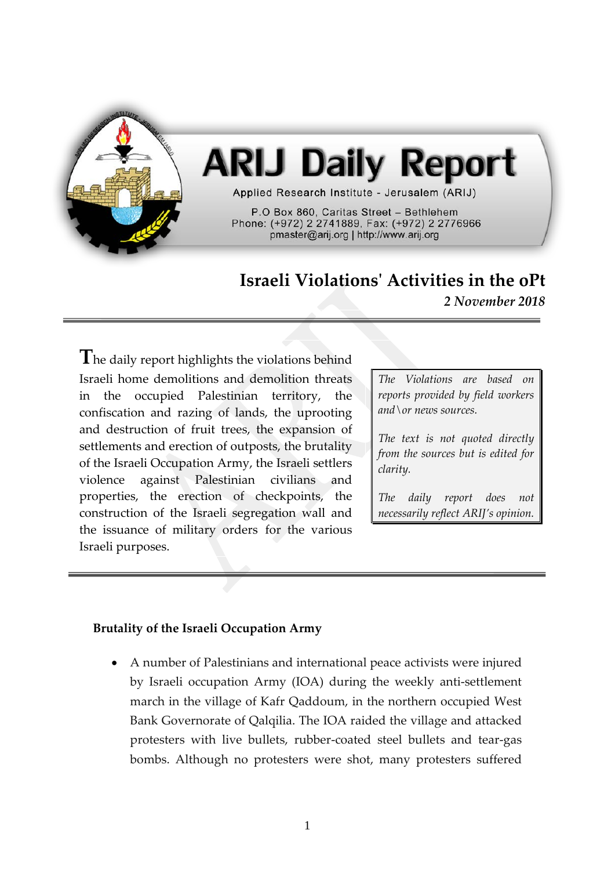

# **ARIJ Daily Report**

Applied Research Institute - Jerusalem (ARIJ)

P.O Box 860, Caritas Street - Bethlehem Phone: (+972) 2 2741889, Fax: (+972) 2 2776966 pmaster@arij.org | http://www.arij.org

# **Israeli Violations' Activities in the oPt**

*2 November 2018*

**T**he daily report highlights the violations behind Israeli home demolitions and demolition threats in the occupied Palestinian territory, the confiscation and razing of lands, the uprooting and destruction of fruit trees, the expansion of settlements and erection of outposts, the brutality of the Israeli Occupation Army, the Israeli settlers violence against Palestinian civilians and properties, the erection of checkpoints, the construction of the Israeli segregation wall and the issuance of military orders for the various Israeli purposes.

*The Violations are based on reports provided by field workers and\or news sources.*

*The text is not quoted directly from the sources but is edited for clarity.*

*The daily report does not necessarily reflect ARIJ's opinion.*

#### **Brutality of the Israeli Occupation Army**

• A number of Palestinians and international peace activists were injured by Israeli occupation Army (IOA) during the weekly anti-settlement march in the village of Kafr Qaddoum, in the northern occupied West Bank Governorate of Qalqilia. The IOA raided the village and attacked protesters with live bullets, rubber-coated steel bullets and tear-gas bombs. Although no protesters were shot, many protesters suffered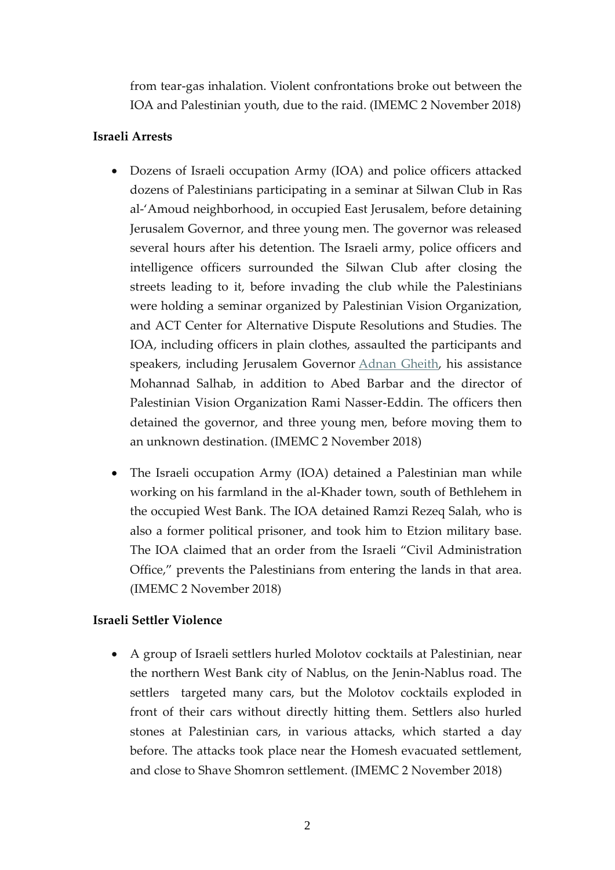from tear-gas inhalation. Violent confrontations broke out between the IOA and Palestinian youth, due to the raid. (IMEMC 2 November 2018)

## **Israeli Arrests**

- Dozens of Israeli occupation Army (IOA) and police officers attacked dozens of Palestinians participating in a seminar at Silwan Club in Ras al-'Amoud neighborhood, in occupied East Jerusalem, before detaining Jerusalem Governor, and three young men. The governor was released several hours after his detention. The Israeli army, police officers and intelligence officers surrounded the Silwan Club after closing the streets leading to it, before invading the club while the Palestinians were holding a seminar organized by Palestinian Vision Organization, and ACT Center for Alternative Dispute Resolutions and Studies. The IOA, including officers in plain clothes, assaulted the participants and speakers, including Jerusalem Governor [Adnan Gheith,](http://imemc.org/article/israel-releases-jerusalem-governor-holds-him-under-house-arrest/) his assistance Mohannad Salhab, in addition to Abed Barbar and the director of Palestinian Vision Organization Rami Nasser-Eddin. The officers then detained the governor, and three young men, before moving them to an unknown destination. (IMEMC 2 November 2018)
- The Israeli occupation Army (IOA) detained a Palestinian man while working on his farmland in the al-Khader town, south of Bethlehem in the occupied West Bank. The IOA detained Ramzi Rezeq Salah, who is also a former political prisoner, and took him to Etzion military base. The IOA claimed that an order from the Israeli "Civil Administration Office," prevents the Palestinians from entering the lands in that area. (IMEMC 2 November 2018)

## **Israeli Settler Violence**

• A group of Israeli settlers hurled Molotov cocktails at Palestinian, near the northern West Bank city of Nablus, on the Jenin-Nablus road. The settlers targeted many cars, but the Molotov cocktails exploded in front of their cars without directly hitting them. Settlers also hurled stones at Palestinian cars, in various attacks, which started a day before. The attacks took place near the Homesh evacuated settlement, and close to Shave Shomron settlement. (IMEMC 2 November 2018)